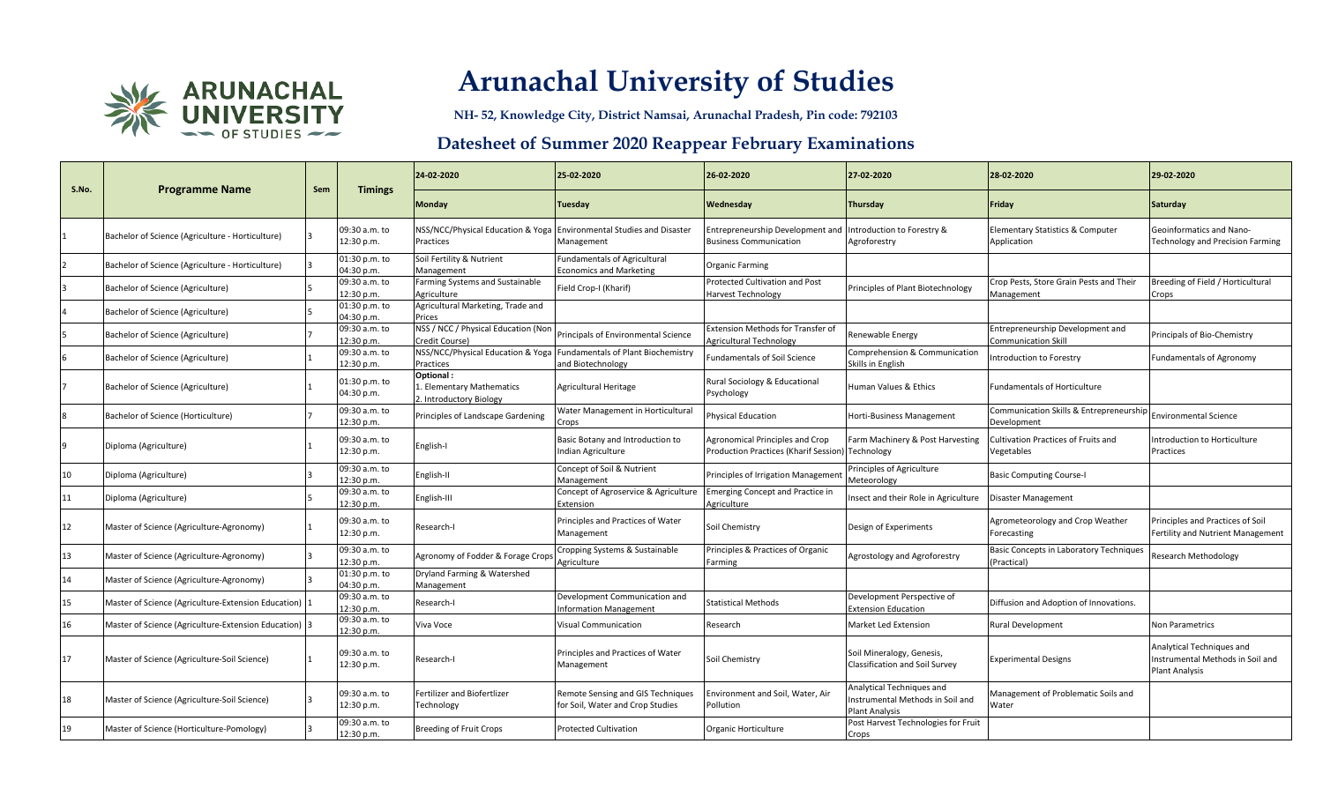

**NH- 52, Knowledge City, District Namsai, Arunachal Pradesh, Pin code: 792103**

| S.No. |                                                        |     |                             | 24-02-2020                                                        | 25-02-2020                                                            | 26-02-2020                                                               | 27-02-2020                                                                             | 28-02-2020                                                     | 29-02-2020                                                                            |
|-------|--------------------------------------------------------|-----|-----------------------------|-------------------------------------------------------------------|-----------------------------------------------------------------------|--------------------------------------------------------------------------|----------------------------------------------------------------------------------------|----------------------------------------------------------------|---------------------------------------------------------------------------------------|
|       | <b>Programme Name</b>                                  | Sem | <b>Timings</b>              | Monday                                                            | Tuesday                                                               | Wednesday                                                                | Thursday                                                                               | Friday                                                         | Saturday                                                                              |
|       | Bachelor of Science (Agriculture - Horticulture)       |     | 09:30 a.m. to<br>12:30 p.m. | NSS/NCC/Physical Education & Yoga<br>Practices                    | <b>Environmental Studies and Disaster</b><br>Management               | Entrepreneurship Development and<br><b>Business Communication</b>        | Introduction to Forestry &<br>Agroforestry                                             | <b>Elementary Statistics &amp; Computer</b><br>Application     | Geoinformatics and Nano-<br><b>Technology and Precision Farming</b>                   |
|       | Bachelor of Science (Agriculture - Horticulture)       |     | 01:30 p.m. to<br>04:30 p.m. | Soil Fertility & Nutrient<br>Management                           | Fundamentals of Agricultural<br><b>Economics and Marketing</b>        | <b>Organic Farming</b>                                                   |                                                                                        |                                                                |                                                                                       |
|       | Bachelor of Science (Agriculture)                      |     | 09:30 a.m. to<br>12:30 p.m. | Farming Systems and Sustainable<br>Agriculture                    | Field Crop-I (Kharif)                                                 | Protected Cultivation and Post<br>Harvest Technology                     | Principles of Plant Biotechnology                                                      | Crop Pests, Store Grain Pests and Their<br>Management          | Breeding of Field / Horticultural<br>Crops                                            |
|       | Bachelor of Science (Agriculture)                      |     | 01:30 p.m. to<br>04:30 p.m. | Agricultural Marketing, Trade and<br>Prices                       |                                                                       |                                                                          |                                                                                        |                                                                |                                                                                       |
|       | Bachelor of Science (Agriculture)                      |     | 09:30 a.m. to<br>12:30 p.m. | NSS / NCC / Physical Education (Non<br>Credit Course)             | Principals of Environmental Science                                   | <b>Extension Methods for Transfer of</b><br>Agricultural Technology      | Renewable Energy                                                                       | Entrepreneurship Development and<br><b>Communication Skill</b> | Principals of Bio-Chemistry                                                           |
|       | Bachelor of Science (Agriculture)                      |     | 09:30 a.m. to<br>12:30 p.m. | NSS/NCC/Physical Education & Yoga<br>Practices                    | <b>Fundamentals of Plant Biochemistry</b><br>and Biotechnology        | <b>Fundamentals of Soil Science</b>                                      | Comprehension & Communication<br>Skills in English                                     | Introduction to Forestry                                       | <b>Fundamentals of Agronomy</b>                                                       |
|       | Bachelor of Science (Agriculture)                      |     | 01:30 p.m. to<br>04:30 p.m. | Optional:<br>L. Elementary Mathematics<br>2. Introductory Biology | Agricultural Heritage                                                 | Rural Sociology & Educational<br>Psychology                              | Human Values & Ethics                                                                  | <b>Fundamentals of Horticulture</b>                            |                                                                                       |
| 8     | Bachelor of Science (Horticulture)                     |     | 09:30 a.m. to<br>12:30 p.m. | Principles of Landscape Gardening                                 | Water Management in Horticultural<br>crops                            | <b>Physical Education</b>                                                | Horti-Business Management                                                              | Communication Skills & Entrepreneurship<br>Development         | <b>Environmental Science</b>                                                          |
| 9     | Diploma (Agriculture)                                  |     | 09:30 a.m. to<br>12:30 p.m. | English-I                                                         | Basic Botany and Introduction to<br>Indian Agriculture                | Agronomical Principles and Crop<br>Production Practices (Kharif Session) | Farm Machinery & Post Harvesting<br>Technology                                         | Cultivation Practices of Fruits and<br>Vegetables              | ntroduction to Horticulture<br>Practices                                              |
| 10    | Diploma (Agriculture)                                  |     | 09:30 a.m. to<br>12:30 p.m. | English-II                                                        | Concept of Soil & Nutrient<br>Management                              | Principles of Irrigation Managemen                                       | Principles of Agriculture<br>Meteorology                                               | <b>Basic Computing Course-I</b>                                |                                                                                       |
| 11    | Diploma (Agriculture)                                  |     | 09:30 a.m. to<br>12:30 p.m. | English-III                                                       | Concept of Agroservice & Agriculture<br>Extension                     | <b>Emerging Concept and Practice in</b><br>Agriculture                   | Insect and their Role in Agriculture                                                   | Disaster Management                                            |                                                                                       |
| 12    | Master of Science (Agriculture-Agronomy)               |     | 09:30 a.m. to<br>12:30 p.m. | Research-I                                                        | Principles and Practices of Water<br>Management                       | Soil Chemistry                                                           | Design of Experiments                                                                  | Agrometeorology and Crop Weather<br>Forecasting                | Principles and Practices of Soil<br>Fertility and Nutrient Management                 |
| 13    | Master of Science (Agriculture-Agronomy)               |     | 09:30 a.m. to<br>12:30 p.m. | Agronomy of Fodder & Forage Crops                                 | Cropping Systems & Sustainable<br>Agriculture                         | Principles & Practices of Organic<br>Farming                             | Agrostology and Agroforestry                                                           | Basic Concepts in Laboratory Techniques<br>Practical)          | Research Methodology                                                                  |
| 14    | Master of Science (Agriculture-Agronomy)               |     | 01:30 p.m. to<br>04:30 p.m. | Dryland Farming & Watershed<br>Management                         |                                                                       |                                                                          |                                                                                        |                                                                |                                                                                       |
| 15    | Master of Science (Agriculture-Extension Education)  1 |     | 09:30 a.m. to<br>12:30 p.m. | Research-I                                                        | Development Communication and<br>nformation Management                | <b>Statistical Methods</b>                                               | Development Perspective of<br><b>Extension Education</b>                               | Diffusion and Adoption of Innovations.                         |                                                                                       |
| 16    | Master of Science (Agriculture-Extension Education) 3  |     | 09:30 a.m. to<br>12:30 p.m. | Viva Voce                                                         | <b>Visual Communication</b>                                           | Research                                                                 | <b>Market Led Extension</b>                                                            | <b>Rural Development</b>                                       | <b>Non Parametrics</b>                                                                |
| 17    | Master of Science (Agriculture-Soil Science)           |     | 09:30 a.m. to<br>12:30 p.m. | Research-I                                                        | Principles and Practices of Water<br>Management                       | Soil Chemistry                                                           | Soil Mineralogy, Genesis,<br>Classification and Soil Survey                            | <b>Experimental Designs</b>                                    | Analytical Techniques and<br>nstrumental Methods in Soil and<br><b>Plant Analysis</b> |
| 18    | Master of Science (Agriculture-Soil Science)           |     | 09:30 a.m. to<br>12:30 p.m. | Fertilizer and Biofertlizer<br>Technology                         | Remote Sensing and GIS Techniques<br>for Soil, Water and Crop Studies | Environment and Soil, Water, Air<br>Pollution                            | Analytical Techniques and<br>Instrumental Methods in Soil and<br><b>Plant Analysis</b> | Management of Problematic Soils and<br>Water                   |                                                                                       |
| 19    | Master of Science (Horticulture-Pomology)              |     | 09:30 a.m. to<br>12:30 p.m. | <b>Breeding of Fruit Crops</b>                                    | <b>Protected Cultivation</b>                                          | Organic Horticulture                                                     | Post Harvest Technologies for Fruit<br>Crops                                           |                                                                |                                                                                       |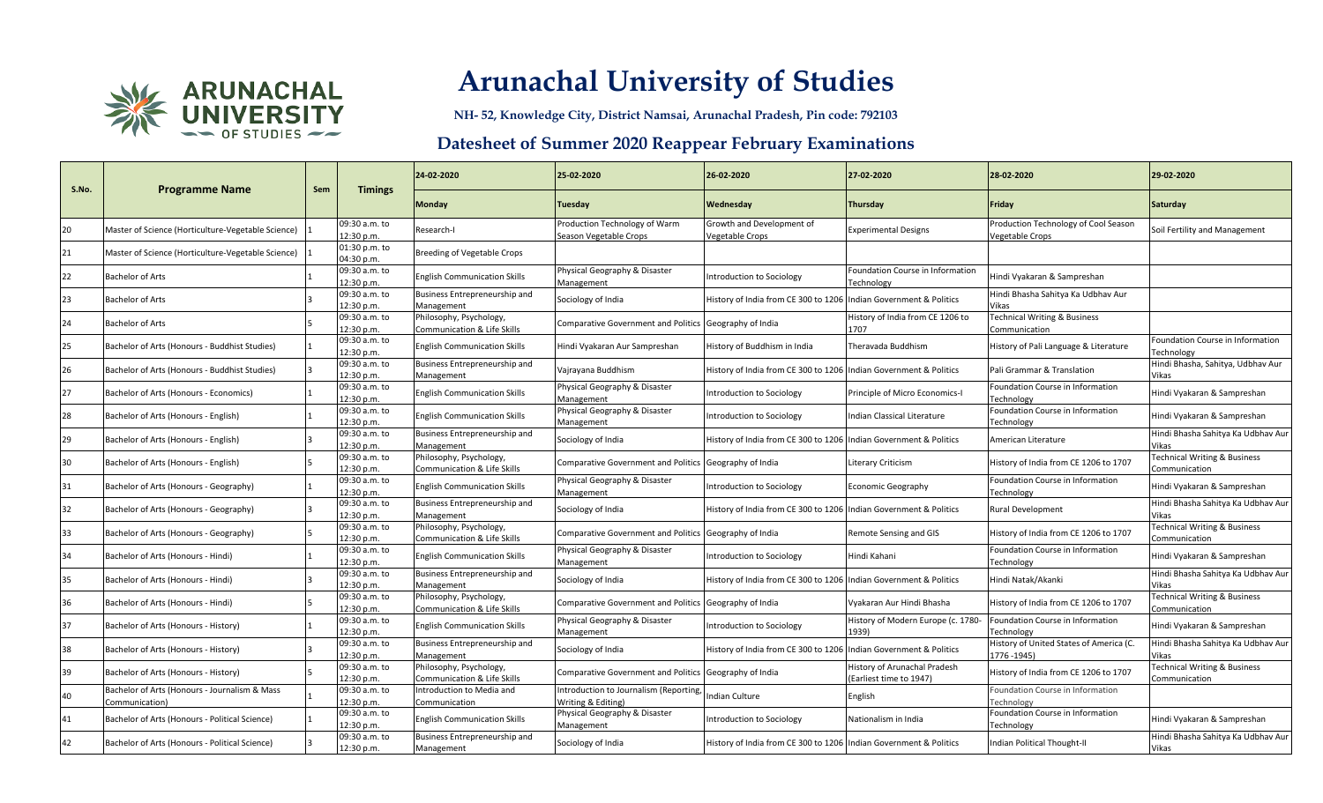

**NH- 52, Knowledge City, District Namsai, Arunachal Pradesh, Pin code: 792103**

| S.No. | <b>Programme Name</b>                                           | Sem | <b>Timings</b>              | 24-02-2020                                                        | 25-02-2020                                                  | 26-02-2020                                                        | 27-02-2020                                              | 28-02-2020                                              | 29-02-2020                                               |
|-------|-----------------------------------------------------------------|-----|-----------------------------|-------------------------------------------------------------------|-------------------------------------------------------------|-------------------------------------------------------------------|---------------------------------------------------------|---------------------------------------------------------|----------------------------------------------------------|
|       |                                                                 |     |                             | Monday                                                            | Tuesday                                                     | Wednesday                                                         | Thursday                                                | Friday                                                  | <b>Saturday</b>                                          |
| 20    | Master of Science (Horticulture-Vegetable Science)              |     | 09:30 a.m. to<br>12:30 p.m. | Research-I                                                        | Production Technology of Warm<br>Season Vegetable Crops     | Growth and Development of<br>Vegetable Crops                      | <b>Experimental Designs</b>                             | Production Technology of Cool Season<br>Vegetable Crops | Soil Fertility and Management                            |
| 21    | Master of Science (Horticulture-Vegetable Science)              |     | 01:30 p.m. to<br>04:30 p.m. | <b>Breeding of Vegetable Crops</b>                                |                                                             |                                                                   |                                                         |                                                         |                                                          |
| 22    | Bachelor of Arts                                                |     | 09:30 a.m. to<br>12:30 p.m. | <b>English Communication Skills</b>                               | Physical Geography & Disaster<br>Management                 | Introduction to Sociology                                         | Foundation Course in Information<br>Technology          | Hindi Vyakaran & Sampreshan                             |                                                          |
| 23    | Bachelor of Arts                                                |     | 09:30 a.m. to<br>12:30 p.m. | Business Entrepreneurship and<br>Management                       | Sociology of India                                          | listory of India from CE 300 to 1206 Indian Government & Politics |                                                         | Hindi Bhasha Sahitya Ka Udbhav Aur<br>Vikas             |                                                          |
| 24    | Bachelor of Arts                                                |     | 09:30 a.m. to<br>12:30 p.m. | Philosophy, Psychology,<br><b>Communication &amp; Life Skills</b> | Comparative Government and Politics Geography of India      |                                                                   | History of India from CE 1206 to<br>1707                | Technical Writing & Business<br>Communication           |                                                          |
| 25    | Bachelor of Arts (Honours - Buddhist Studies)                   |     | 09:30 a.m. to<br>12:30 p.m. | <b>English Communication Skills</b>                               | Hindi Vyakaran Aur Sampreshan                               | listory of Buddhism in India                                      | Theravada Buddhism                                      | History of Pali Language & Literature                   | Foundation Course in Information<br>Technology           |
| 26    | Bachelor of Arts (Honours - Buddhist Studies)                   |     | 09:30 a.m. to<br>12:30 p.m. | Business Entrepreneurship and<br>Management                       | Vajrayana Buddhism                                          | History of India from CE 300 to 1206 Indian Government & Politics |                                                         | Pali Grammar & Translation                              | Hindi Bhasha, Sahitya, Udbhav Aur<br>Vikas               |
| 27    | Bachelor of Arts (Honours - Economics)                          |     | 09:30 a.m. to<br>12:30 p.m. | <b>English Communication Skills</b>                               | Physical Geography & Disaster<br>Management                 | Introduction to Sociology                                         | Principle of Micro Economics-I                          | Foundation Course in Information<br><b>Fechnology</b>   | Hindi Vyakaran & Sampreshan                              |
| 28    | Bachelor of Arts (Honours - English)                            |     | 09:30 a.m. to<br>12:30 p.m. | <b>English Communication Skills</b>                               | Physical Geography & Disaster<br>Management                 | Introduction to Sociology                                         | Indian Classical Literature                             | Foundation Course in Information<br>Technology          | Hindi Vyakaran & Sampreshan                              |
| 29    | Bachelor of Arts (Honours - English)                            |     | 09:30 a.m. to<br>12:30 p.m. | Business Entrepreneurship and<br>Management                       | Sociology of India                                          | History of India from CE 300 to 1206 Indian Government & Politics |                                                         | American Literature                                     | Hindi Bhasha Sahitya Ka Udbhav Aur<br>Vikas              |
| 30    | Bachelor of Arts (Honours - English)                            |     | 09:30 a.m. to<br>12:30 p.m. | Philosophy, Psychology,<br>Communication & Life Skills            | Comparative Government and Politics Geography of India      |                                                                   | Literary Criticism                                      | History of India from CE 1206 to 1707                   | <b>Technical Writing &amp; Business</b><br>Communication |
| 31    | Bachelor of Arts (Honours - Geography)                          |     | 09:30 a.m. to<br>12:30 p.m. | <b>English Communication Skills</b>                               | Physical Geography & Disaster<br>Management                 | Introduction to Sociology                                         | <b>Economic Geography</b>                               | Foundation Course in Information<br><b>Fechnology</b>   | Hindi Vyakaran & Sampreshan                              |
| 32    | Bachelor of Arts (Honours - Geography)                          |     | 09:30 a.m. to<br>12:30 p.m. | Business Entrepreneurship and<br>Management                       | Sociology of India                                          | History of India from CE 300 to 1206 Indian Government & Politics |                                                         | <b>Rural Development</b>                                | Hindi Bhasha Sahitya Ka Udbhav Aur<br>Vikas              |
| 33    | Bachelor of Arts (Honours - Geography)                          |     | 09:30 a.m. to<br>12:30 p.m. | Philosophy, Psychology,<br>Communication & Life Skills            | Comparative Government and Politics Geography of India      |                                                                   | Remote Sensing and GIS                                  | History of India from CE 1206 to 1707                   | <b>Technical Writing &amp; Business</b><br>Communication |
| 34    | Bachelor of Arts (Honours - Hindi)                              |     | 09:30 a.m. to<br>12:30 p.m. | <b>English Communication Skills</b>                               | Physical Geography & Disaster<br>Management                 | Introduction to Sociology                                         | Hindi Kahani                                            | Foundation Course in Information<br>Technology          | Hindi Vyakaran & Sampreshan                              |
| 35    | Bachelor of Arts (Honours - Hindi)                              |     | 09:30 a.m. to<br>12:30 p.m. | Business Entrepreneurship and<br>Management                       | Sociology of India                                          | History of India from CE 300 to 1206 Indian Government & Politics |                                                         | Hindi Natak/Akanki                                      | Hindi Bhasha Sahitya Ka Udbhav Aur<br>Vikas              |
| 36    | Bachelor of Arts (Honours - Hindi)                              |     | 09:30 a.m. to<br>12:30 p.m. | Philosophy, Psychology,<br>Communication & Life Skills            | Comparative Government and Politics Geography of India      |                                                                   | Vyakaran Aur Hindi Bhasha                               | History of India from CE 1206 to 1707                   | <b>Technical Writing &amp; Business</b><br>Communication |
| 37    | Bachelor of Arts (Honours - History)                            |     | 09:30 a.m. to<br>12:30 p.m. | <b>English Communication Skills</b>                               | Physical Geography & Disaster<br>Management                 | Introduction to Sociology                                         | History of Modern Europe (c. 1780-<br>1939)             | Foundation Course in Information<br>Technology          | Hindi Vyakaran & Sampreshan                              |
| 38    | Bachelor of Arts (Honours - History)                            |     | 09:30 a.m. to<br>12:30 p.m. | Business Entrepreneurship and<br>Management                       | Sociology of India                                          | listory of India from CE 300 to 1206 Indian Government & Politics |                                                         | History of United States of America (C.<br>1776 -1945)  | Hindi Bhasha Sahitya Ka Udbhav Aur<br>/ikas              |
| 39    | Bachelor of Arts (Honours - History)                            |     | 09:30 a.m. to<br>12:30 p.m. | Philosophy, Psychology,<br><b>Communication &amp; Life Skills</b> | Comparative Government and Politics                         | Geography of India                                                | History of Arunachal Pradesh<br>(Earliest time to 1947) | History of India from CE 1206 to 1707                   | <b>Technical Writing &amp; Business</b><br>Communication |
| 40    | Bachelor of Arts (Honours - Journalism & Mass<br>Communication) |     | 09:30 a.m. to<br>12:30 p.m. | Introduction to Media and<br>Communication                        | ntroduction to Journalism (Reporting,<br>Vriting & Editing) | ndian Culture                                                     | English                                                 | Foundation Course in Information<br>Technology          |                                                          |
| 41    | Bachelor of Arts (Honours - Political Science)                  |     | 09:30 a.m. to<br>12:30 p.m. | <b>English Communication Skills</b>                               | Physical Geography & Disaster<br>Management                 | Introduction to Sociology                                         | Nationalism in India                                    | Foundation Course in Information<br>Technology          | Hindi Vyakaran & Sampreshan                              |
| 42    | Bachelor of Arts (Honours - Political Science)                  |     | 09:30 a.m. to<br>12:30 p.m. | Business Entrepreneurship and<br>Management                       | Sociology of India                                          | History of India from CE 300 to 1206 Indian Government & Politics |                                                         | <b>Indian Political Thought-II</b>                      | Hindi Bhasha Sahitya Ka Udbhav Aur<br>Vikas              |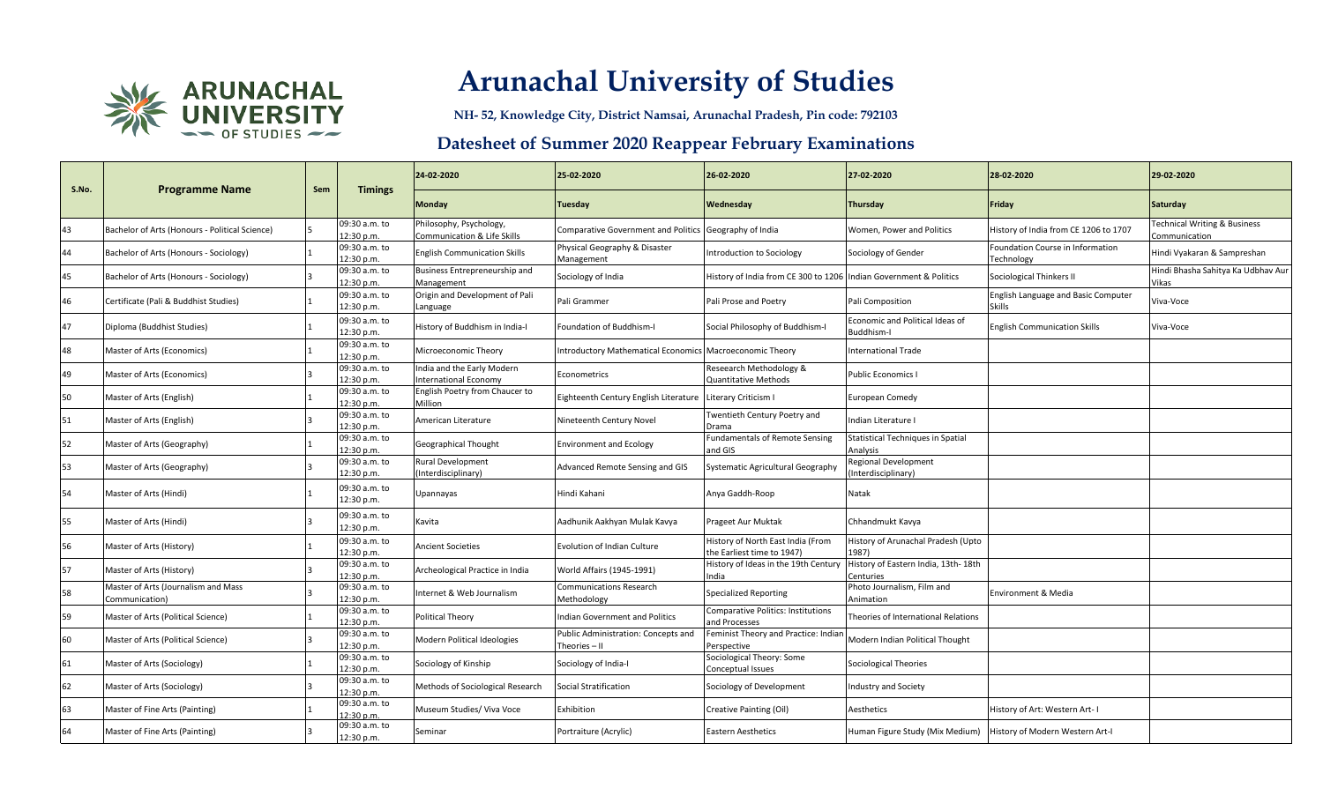

**NH- 52, Knowledge City, District Namsai, Arunachal Pradesh, Pin code: 792103**

| S.No. | <b>Programme Name</b>                                 | Sem | <b>Timings</b>              | 24-02-2020                                                 | 25-02-2020                                                 | 26-02-2020                                                        | 27-02-2020                                       | 28-02-2020                                                  | 29-02-2020                                               |
|-------|-------------------------------------------------------|-----|-----------------------------|------------------------------------------------------------|------------------------------------------------------------|-------------------------------------------------------------------|--------------------------------------------------|-------------------------------------------------------------|----------------------------------------------------------|
|       |                                                       |     |                             | Monday                                                     | Tuesday                                                    | Wednesday                                                         | Thursday                                         | Friday                                                      | Saturday                                                 |
| 43    | Bachelor of Arts (Honours - Political Science)        |     | 09:30 a.m. to<br>12:30 p.m. | Philosophy, Psychology,<br>Communication & Life Skills     | Comparative Government and Politics Geography of India     |                                                                   | Women, Power and Politics                        | History of India from CE 1206 to 1707                       | <b>Technical Writing &amp; Business</b><br>Communication |
| 44    | Bachelor of Arts (Honours - Sociology)                |     | 09:30 a.m. to<br>12:30 p.m. | <b>English Communication Skills</b>                        | Physical Geography & Disaster<br>Management                | Introduction to Sociology                                         | Sociology of Gender                              | Foundation Course in Information<br><b>Fechnology</b>       | Hindi Vyakaran & Sampreshan                              |
| 45    | Bachelor of Arts (Honours - Sociology)                |     | 09:30 a.m. to<br>12:30 p.m. | Business Entrepreneurship and<br>Management                | Sociology of India                                         | History of India from CE 300 to 1206 Indian Government & Politics |                                                  | Sociological Thinkers II                                    | Hindi Bhasha Sahitya Ka Udbhav Aur<br>Vikas              |
| 46    | Certificate (Pali & Buddhist Studies)                 |     | 09:30 a.m. to<br>12:30 p.m. | Origin and Development of Pali<br>Language                 | Pali Grammer                                               | Pali Prose and Poetry                                             | Pali Composition                                 | <b>English Language and Basic Computer</b><br><b>Skills</b> | Viva-Voce                                                |
| 47    | Diploma (Buddhist Studies)                            |     | 09:30 a.m. to<br>12:30 p.m. | History of Buddhism in India-I                             | Foundation of Buddhism-I                                   | Social Philosophy of Buddhism-I                                   | Economic and Political Ideas of<br>Buddhism-     | <b>English Communication Skills</b>                         | Viva-Voce                                                |
| 48    | Master of Arts (Economics)                            |     | 09:30 a.m. to<br>12:30 p.m. | Microeconomic Theory                                       | Introductory Mathematical Economics Macroeconomic Theory   |                                                                   | <b>International Trade</b>                       |                                                             |                                                          |
| 49    | Master of Arts (Economics)                            |     | 09:30 a.m. to<br>12:30 p.m. | India and the Early Modern<br><b>International Economv</b> | Econometrics                                               | Reseearch Methodology &<br><b>Quantitative Methods</b>            | <b>Public Economics I</b>                        |                                                             |                                                          |
| 50    | Master of Arts (English)                              |     | 09:30 a.m. to<br>12:30 p.m. | English Poetry from Chaucer to<br>Million                  | Eighteenth Century English Literature Literary Criticism I |                                                                   | <b>European Comedy</b>                           |                                                             |                                                          |
| 51    | Master of Arts (English)                              |     | 09:30 a.m. to<br>12:30 p.m. | American Literature                                        | Nineteenth Century Novel                                   | Twentieth Century Poetry and<br>Drama                             | Indian Literature I                              |                                                             |                                                          |
| 52    | Master of Arts (Geography)                            |     | 09:30 a.m. to<br>12:30 p.m. | Geographical Thought                                       | <b>Environment and Ecology</b>                             | <b>Fundamentals of Remote Sensing</b><br>and GIS                  | Statistical Techniques in Spatial<br>Analysis    |                                                             |                                                          |
| 53    | Master of Arts (Geography)                            |     | 09:30 a.m. to<br>12:30 p.m. | <b>Rural Development</b><br>(Interdisciplinary)            | Advanced Remote Sensing and GIS                            | Systematic Agricultural Geography                                 | <b>Regional Development</b><br>nterdisciplinary) |                                                             |                                                          |
| 54    | Master of Arts (Hindi)                                |     | 09:30 a.m. to<br>12:30 p.m. | Upannayas                                                  | Hindi Kahani                                               | Anya Gaddh-Roop                                                   | Natak                                            |                                                             |                                                          |
| 55    | Master of Arts (Hindi)                                |     | 09:30 a.m. to<br>12:30 p.m. | Kavita                                                     | Aadhunik Aakhyan Mulak Kavya                               | Prageet Aur Muktak                                                | Chhandmukt Kavya                                 |                                                             |                                                          |
| 56    | Master of Arts (History)                              |     | 09:30 a.m. to<br>12:30 p.m. | <b>Ancient Societies</b>                                   | <b>Evolution of Indian Culture</b>                         | History of North East India (From<br>the Earliest time to 1947)   | History of Arunachal Pradesh (Upto<br>1987)      |                                                             |                                                          |
| 57    | Master of Arts (History)                              |     | 09:30 a.m. to<br>12:30 p.m. | Archeological Practice in India                            | World Affairs (1945-1991)                                  | History of Ideas in the 19th Century<br>India                     | History of Eastern India, 13th-18th<br>Centuries |                                                             |                                                          |
| 58    | Master of Arts (Journalism and Mass<br>Communication) |     | 09:30 a.m. to<br>12:30 p.m. | Internet & Web Journalism                                  | <b>Communications Research</b><br>Methodology              | <b>Specialized Reporting</b>                                      | Photo Journalism, Film and<br>Animation          | Environment & Media                                         |                                                          |
| 59    | Master of Arts (Political Science)                    |     | 09:30 a.m. to<br>12:30 p.m. | Political Theory                                           | Indian Government and Politics                             | <b>Comparative Politics: Institutions</b><br>and Processes        | Theories of International Relations              |                                                             |                                                          |
| 60    | Master of Arts (Political Science)                    |     | 09:30 a.m. to<br>12:30 p.m. | Modern Political Ideologies                                | Public Administration: Concepts and<br>Theories - II       | Feminist Theory and Practice: Indiar<br>Perspective               | Modern Indian Political Thought                  |                                                             |                                                          |
| 61    | Master of Arts (Sociology)                            |     | 09:30 a.m. to<br>12:30 p.m. | Sociology of Kinship                                       | Sociology of India-I                                       | Sociological Theory: Some<br>Conceptual Issues                    | Sociological Theories                            |                                                             |                                                          |
| 62    | Master of Arts (Sociology)                            |     | 09:30 a.m. to<br>12:30 p.m. | Methods of Sociological Research                           | Social Stratification                                      | Sociology of Development                                          | <b>Industry and Society</b>                      |                                                             |                                                          |
| 63    | Master of Fine Arts (Painting)                        |     | 09:30 a.m. to<br>12:30 p.m. | Museum Studies/ Viva Voce                                  | Exhibition                                                 | Creative Painting (Oil)                                           | Aesthetics                                       | History of Art: Western Art-I                               |                                                          |
| 64    | Master of Fine Arts (Painting)                        |     | 09:30 a.m. to<br>12:30 p.m. | Seminar                                                    | Portraiture (Acrylic)                                      | Eastern Aesthetics                                                | Human Figure Study (Mix Medium)                  | History of Modern Western Art-I                             |                                                          |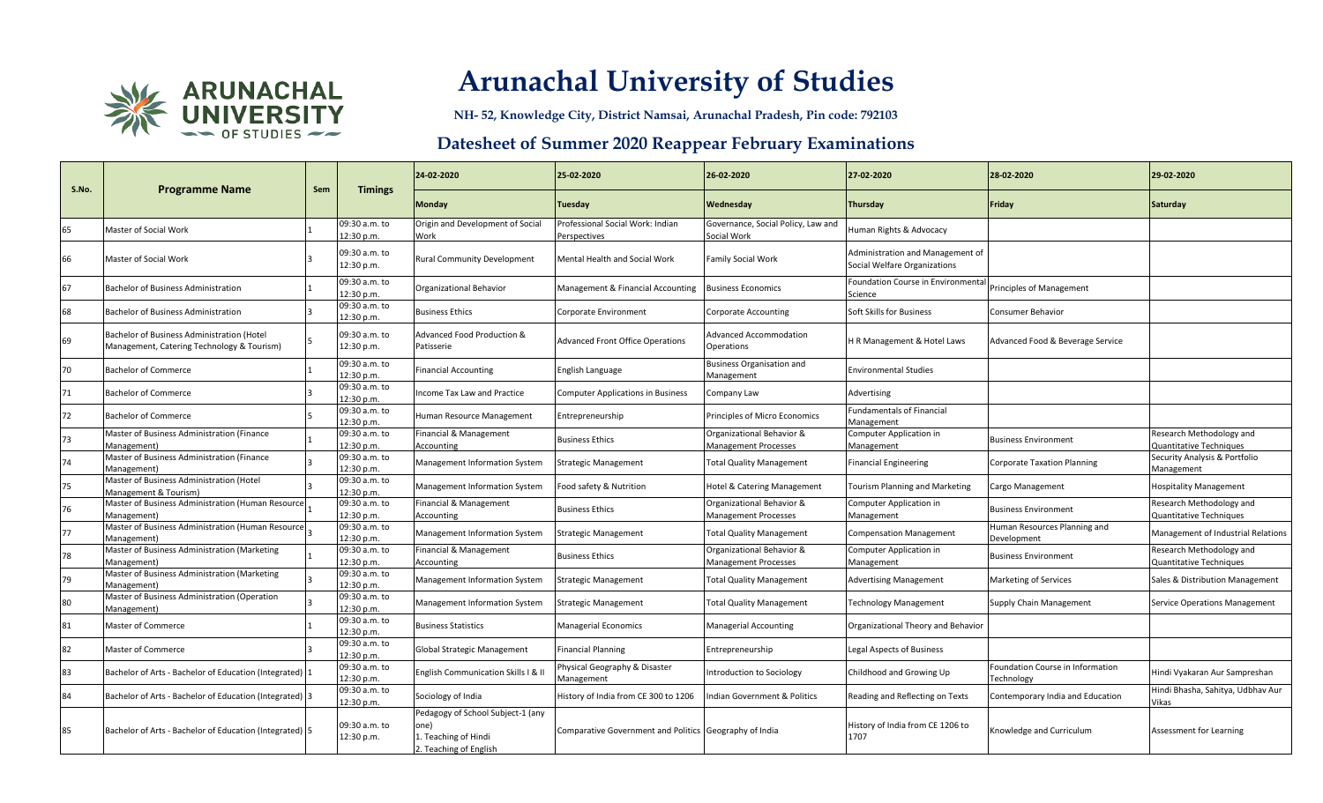

**NH- 52, Knowledge City, District Namsai, Arunachal Pradesh, Pin code: 792103**

| S.No. | <b>Programme Name</b>                                                                    | Sem | <b>Timings</b>              | 24-02-2020                                                                                  | 25-02-2020                                             | 26-02-2020                                               | 27-02-2020                                                       | 28-02-2020                                     | 29-02-2020                                          |
|-------|------------------------------------------------------------------------------------------|-----|-----------------------------|---------------------------------------------------------------------------------------------|--------------------------------------------------------|----------------------------------------------------------|------------------------------------------------------------------|------------------------------------------------|-----------------------------------------------------|
|       |                                                                                          |     |                             | Monday                                                                                      | Tuesday                                                | Wednesday                                                | Thursday                                                         | Friday                                         | <b>Saturday</b>                                     |
| 65    | Master of Social Work                                                                    |     | 09:30 a.m. to<br>12:30 p.m. | Origin and Development of Social<br>Work                                                    | Professional Social Work: Indian<br>Perspectives       | Governance, Social Policy, Law and<br>Social Work        | Human Rights & Advocacy                                          |                                                |                                                     |
| 66    | Master of Social Work                                                                    |     | 09:30 a.m. to<br>12:30 p.m. | <b>Rural Community Development</b>                                                          | Mental Health and Social Work                          | Family Social Work                                       | Administration and Management of<br>Social Welfare Organizations |                                                |                                                     |
| 67    | <b>Bachelor of Business Administration</b>                                               |     | 09:30 a.m. to<br>12:30 p.m. | <b>Organizational Behavior</b>                                                              | Management & Financial Accounting                      | <b>Business Economics</b>                                | Foundation Course in Environmental<br>Science                    | <b>Principles of Management</b>                |                                                     |
| 68    | Bachelor of Business Administration                                                      |     | 09:30 a.m. to<br>12:30 p.m. | <b>Business Ethics</b>                                                                      | Corporate Environment                                  | <b>Corporate Accounting</b>                              | Soft Skills for Business                                         | <b>Consumer Behavior</b>                       |                                                     |
| 69    | Bachelor of Business Administration (Hotel<br>Management, Catering Technology & Tourism) |     | 09:30 a.m. to<br>12:30 p.m. | Advanced Food Production &<br>Patisserie                                                    | <b>Advanced Front Office Operations</b>                | <b>Advanced Accommodation</b><br>Operations              | H R Management & Hotel Laws                                      | Advanced Food & Beverage Service               |                                                     |
| 70    | <b>Bachelor of Commerce</b>                                                              |     | 09:30 a.m. to<br>12:30 p.m. | <b>Financial Accounting</b>                                                                 | English Language                                       | <b>Business Organisation and</b><br>Management           | <b>Environmental Studies</b>                                     |                                                |                                                     |
| 71    | <b>Bachelor of Commerce</b>                                                              |     | 09:30 a.m. to<br>12:30 p.m. | Income Tax Law and Practice                                                                 | <b>Computer Applications in Business</b>               | Company Law                                              | Advertising                                                      |                                                |                                                     |
| 72    | <b>Bachelor of Commerce</b>                                                              |     | 09:30 a.m. to<br>12:30 p.m. | Human Resource Management                                                                   | Entrepreneurship                                       | Principles of Micro Economics                            | <b>Fundamentals of Financial</b><br>Management                   |                                                |                                                     |
| 73    | Master of Business Administration (Finance<br>Management)                                |     | 09:30 a.m. to<br>12:30 p.m. | Financial & Management<br>Accounting                                                        | Business Ethics                                        | Organizational Behavior &<br><b>Management Processes</b> | Computer Application in<br>Management                            | <b>Business Environment</b>                    | Research Methodology and<br>Quantitative Techniques |
| 74    | Master of Business Administration (Finance<br>Management)                                |     | 09:30 a.m. to<br>12:30 p.m. | Management Information System                                                               | Strategic Management                                   | <b>Total Quality Management</b>                          | <b>Financial Engineering</b>                                     | <b>Corporate Taxation Planning</b>             | Security Analysis & Portfolio<br>Management         |
| 75    | Master of Business Administration (Hotel<br>Management & Tourism)                        |     | 09:30 a.m. to<br>12:30 p.m. | Management Information System                                                               | Food safety & Nutrition                                | Hotel & Catering Management                              | <b>Tourism Planning and Marketing</b>                            | Cargo Management                               | <b>Hospitality Management</b>                       |
| 76    | Master of Business Administration (Human Resource<br>Management)                         |     | 09:30 a.m. to<br>12:30 p.m. | Financial & Management<br>Accounting                                                        | <b>Business Ethics</b>                                 | Organizational Behavior &<br><b>Management Processes</b> | Computer Application in<br>Management                            | <b>Business Environment</b>                    | Research Methodology and<br>Quantitative Techniques |
| 77    | Master of Business Administration (Human Resource<br>Management)                         |     | 09:30 a.m. to<br>12:30 p.m. | Management Information System                                                               | Strategic Management                                   | <b>Total Quality Management</b>                          | <b>Compensation Management</b>                                   | Human Resources Planning and<br>Development    | Management of Industrial Relations                  |
| 78    | Master of Business Administration (Marketing<br>Management)                              |     | 09:30 a.m. to<br>12:30 p.m. | Financial & Management<br>Accounting                                                        | <b>Business Ethics</b>                                 | Organizational Behavior &<br><b>Management Processes</b> | Computer Application in<br>Management                            | <b>Business Environment</b>                    | Research Methodology and<br>Quantitative Techniques |
| 79    | Master of Business Administration (Marketing<br>Management)                              |     | 09:30 a.m. to<br>12:30 p.m. | Management Information System                                                               | Strategic Management                                   | <b>Total Quality Management</b>                          | <b>Advertising Management</b>                                    | Marketing of Services                          | Sales & Distribution Management                     |
| 80    | Master of Business Administration (Operation<br>Management)                              |     | 09:30 a.m. to<br>12:30 p.m. | Management Information System                                                               | Strategic Management                                   | <b>Total Quality Management</b>                          | <b>Technology Management</b>                                     | Supply Chain Management                        | <b>Service Operations Management</b>                |
| 81    | Master of Commerce                                                                       |     | 09:30 a.m. to<br>12:30 p.m. | <b>Business Statistics</b>                                                                  | Managerial Economics                                   | <b>Managerial Accounting</b>                             | Organizational Theory and Behavior                               |                                                |                                                     |
| 82    | Master of Commerce                                                                       |     | 09:30 a.m. to<br>12:30 p.m. | Global Strategic Management                                                                 | Financial Planning                                     | Entrepreneurship                                         | <b>Legal Aspects of Business</b>                                 |                                                |                                                     |
| 83    | Bachelor of Arts - Bachelor of Education (Integrated)  1                                 |     | 09:30 a.m. to<br>12:30 p.m. | English Communication Skills   & II                                                         | Physical Geography & Disaster<br>Management            | Introduction to Sociology                                | Childhood and Growing Up                                         | Foundation Course in Information<br>Technology | Hindi Vyakaran Aur Sampreshan                       |
| 84    | Bachelor of Arts - Bachelor of Education (Integrated) 3                                  |     | 09:30 a.m. to<br>12:30 p.m. | Sociology of India                                                                          | History of India from CE 300 to 1206                   | Indian Government & Politics                             | Reading and Reflecting on Texts                                  | Contemporary India and Education               | Hindi Bhasha, Sahitya, Udbhav Aur<br>Vikas          |
| 85    | Bachelor of Arts - Bachelor of Education (Integrated) 5                                  |     | 09:30 a.m. to<br>12:30 p.m. | Pedagogy of School Subject-1 (any<br>one)<br>1. Teaching of Hindi<br>2. Teaching of English | Comparative Government and Politics Geography of India |                                                          | History of India from CE 1206 to<br>1707                         | Knowledge and Curriculum                       | Assessment for Learning                             |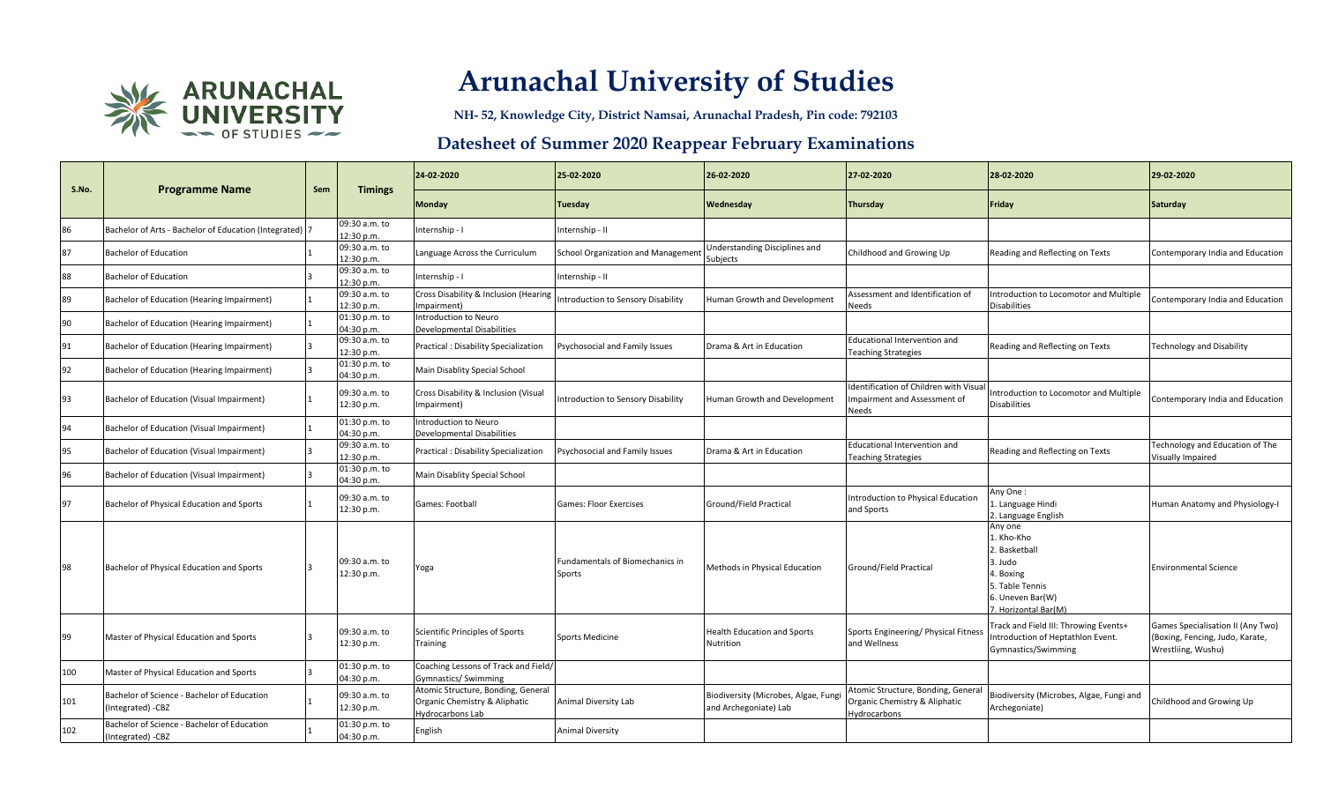

**NH- 52, Knowledge City, District Namsai, Arunachal Pradesh, Pin code: 792103**

|       |                                                                  | Sem |                             | 24-02-2020                                                                              | 25-02-2020                                       | 26-02-2020                                                   | 27-02-2020                                                                          | 28-02-2020                                                                                                                   | 29-02-2020                                                                                 |
|-------|------------------------------------------------------------------|-----|-----------------------------|-----------------------------------------------------------------------------------------|--------------------------------------------------|--------------------------------------------------------------|-------------------------------------------------------------------------------------|------------------------------------------------------------------------------------------------------------------------------|--------------------------------------------------------------------------------------------|
| S.No. | <b>Programme Name</b>                                            |     | <b>Timings</b>              | Monday                                                                                  | Tuesday                                          | Wednesday                                                    | Thursday                                                                            | Friday                                                                                                                       | <b>Saturday</b>                                                                            |
| 86    | Bachelor of Arts - Bachelor of Education (Integrated) 7          |     | 09:30 a.m. to<br>12:30 p.m. | Internship - I                                                                          | Internship - II                                  |                                                              |                                                                                     |                                                                                                                              |                                                                                            |
| 87    | <b>Bachelor of Education</b>                                     |     | 09:30 a.m. to<br>12:30 p.m. | Language Across the Curriculum                                                          | School Organization and Management               | Understanding Disciplines and<br>Subjects                    | Childhood and Growing Up                                                            | Reading and Reflecting on Texts                                                                                              | Contemporary India and Education                                                           |
| 88    | <b>Bachelor of Education</b>                                     |     | 09:30 a.m. to<br>12:30 p.m. | Internship - I                                                                          | Internship - II                                  |                                                              |                                                                                     |                                                                                                                              |                                                                                            |
| 89    | Bachelor of Education (Hearing Impairment)                       |     | 09:30 a.m. to<br>12:30 p.m. | Cross Disability & Inclusion (Hearing<br>Impairment)                                    | ntroduction to Sensory Disability                | Human Growth and Development                                 | Assessment and Identification of<br><b>Needs</b>                                    | ntroduction to Locomotor and Multiple<br><b>Disabilities</b>                                                                 | Contemporary India and Education                                                           |
| 90    | Bachelor of Education (Hearing Impairment)                       |     | 01:30 p.m. to<br>04:30 p.m. | Introduction to Neuro<br><b>Developmental Disabilities</b>                              |                                                  |                                                              |                                                                                     |                                                                                                                              |                                                                                            |
| 91    | Bachelor of Education (Hearing Impairment)                       |     | 09:30 a.m. to<br>12:30 p.m. | <b>Practical: Disability Specialization</b>                                             | Psychosocial and Family Issues                   | Drama & Art in Education                                     | Educational Intervention and<br><b>Teaching Strategies</b>                          | Reading and Reflecting on Texts                                                                                              | <b>Technology and Disability</b>                                                           |
| 92    | Bachelor of Education (Hearing Impairment)                       |     | 01:30 p.m. to<br>04:30 p.m. | Main Disablity Special School                                                           |                                                  |                                                              |                                                                                     |                                                                                                                              |                                                                                            |
| 93    | Bachelor of Education (Visual Impairment)                        |     | 09:30 a.m. to<br>12:30 p.m. | Cross Disability & Inclusion (Visual<br>mpairment)                                      | ntroduction to Sensory Disability                | Human Growth and Development                                 | Identification of Children with Visua<br>mpairment and Assessment of<br>Needs       | ntroduction to Locomotor and Multiple<br><b>Disabilities</b>                                                                 | Contemporary India and Education                                                           |
| 94    | Bachelor of Education (Visual Impairment)                        |     | 01:30 p.m. to<br>04:30 p.m. | Introduction to Neuro<br>Developmental Disabilities                                     |                                                  |                                                              |                                                                                     |                                                                                                                              |                                                                                            |
| 95    | Bachelor of Education (Visual Impairment)                        |     | 09:30 a.m. to<br>12:30 p.m. | Practical: Disability Specialization                                                    | Psychosocial and Family Issues                   | Drama & Art in Education                                     | Educational Intervention and<br><b>Teaching Strategies</b>                          | Reading and Reflecting on Texts                                                                                              | Technology and Education of The<br><b>Visually Impaired</b>                                |
| 96    | Bachelor of Education (Visual Impairment)                        |     | 01:30 p.m. to<br>04:30 p.m. | Main Disablity Special School                                                           |                                                  |                                                              |                                                                                     |                                                                                                                              |                                                                                            |
| 97    | Bachelor of Physical Education and Sports                        |     | 09:30 a.m. to<br>12:30 p.m. | Games: Football                                                                         | <b>Games: Floor Exercises</b>                    | Ground/Field Practical                                       | Introduction to Physical Education<br>and Sports                                    | Any One:<br>L. Language Hindi<br>2. Language English                                                                         | Human Anatomy and Physiology-I                                                             |
| 98    | Bachelor of Physical Education and Sports                        |     | 09:30 a.m. to<br>12:30 p.m. | Yoga                                                                                    | <b>Fundamentals of Biomechanics in</b><br>Sports | Methods in Physical Education                                | Ground/Field Practical                                                              | Any one<br>l. Kho-Kho<br>. Basketball<br>3. Judo<br>4. Boxing<br>5. Table Tennis<br>6. Uneven Bar(W)<br>'. Horizontal Bar(M) | <b>Environmental Science</b>                                                               |
| 99    | Master of Physical Education and Sports                          | 3   | 09:30 a.m. to<br>12:30 p.m. | Scientific Principles of Sports<br>Training                                             | <b>Sports Medicine</b>                           | <b>Health Education and Sports</b><br>Nutrition              | Sports Engineering/ Physical Fitness<br>and Wellness                                | rack and Field III: Throwing Events+<br>ntroduction of Heptathlon Event.<br>Gymnastics/Swimming                              | Games Specialisation II (Any Two)<br>(Boxing, Fencing, Judo, Karate,<br>Wrestliing, Wushu) |
| 100   | Master of Physical Education and Sports                          |     | 01:30 p.m. to<br>04:30 p.m. | Coaching Lessons of Track and Field,<br><b>Gymnastics/ Swimming</b>                     |                                                  |                                                              |                                                                                     |                                                                                                                              |                                                                                            |
| 101   | Bachelor of Science - Bachelor of Education<br>(Integrated) -CBZ |     | 09:30 a.m. to<br>12:30 p.m. | Atomic Structure, Bonding, General<br>Organic Chemistry & Aliphatic<br>Hydrocarbons Lab | Animal Diversity Lab                             | Biodiversity (Microbes, Algae, Fung<br>and Archegoniate) Lab | Atomic Structure, Bonding, General<br>Organic Chemistry & Aliphatic<br>Hydrocarbons | Biodiversity (Microbes, Algae, Fungi and<br>Archegoniate)                                                                    | Childhood and Growing Up                                                                   |
| 102   | Bachelor of Science - Bachelor of Education<br>(Integrated) -CBZ |     | 01:30 p.m. to<br>04:30 p.m. | English                                                                                 | <b>Animal Diversity</b>                          |                                                              |                                                                                     |                                                                                                                              |                                                                                            |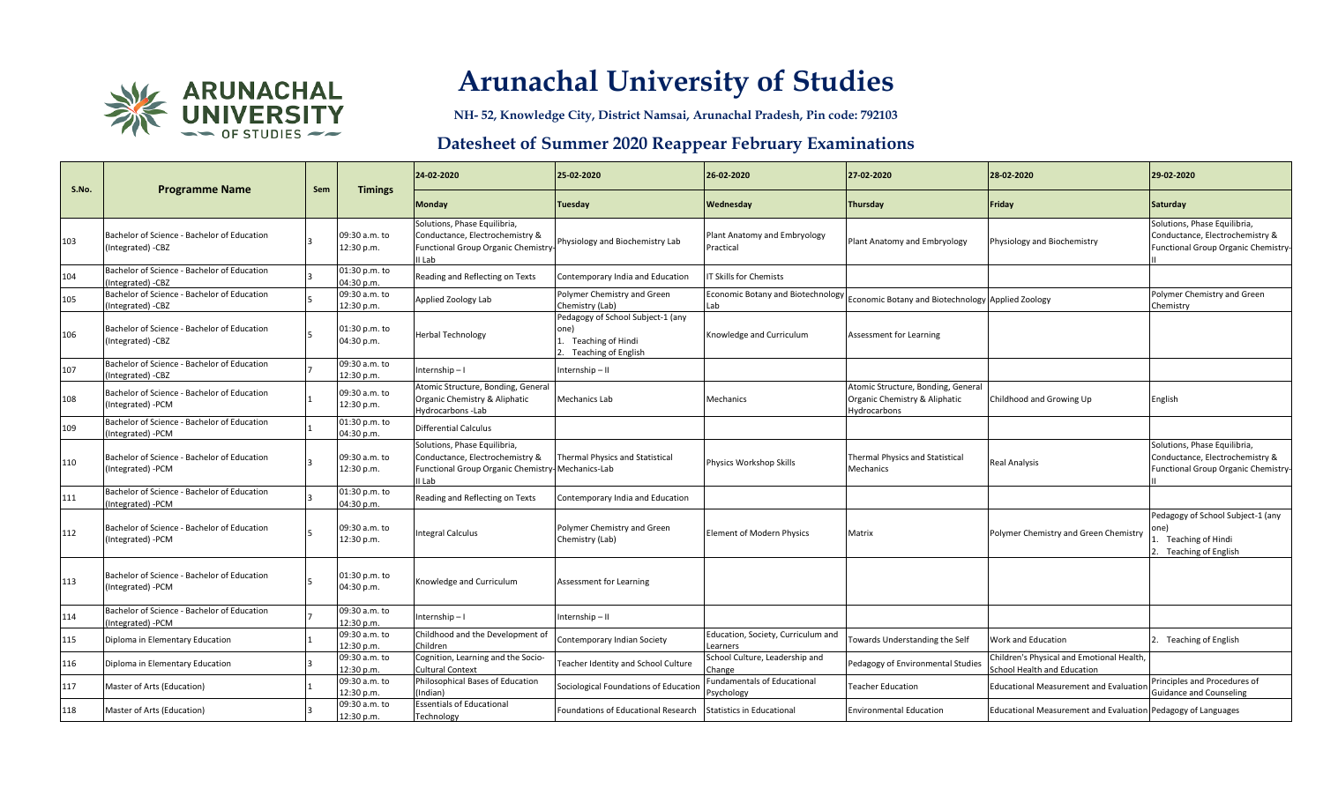

**NH- 52, Knowledge City, District Namsai, Arunachal Pradesh, Pin code: 792103**

| S.No. | <b>Programme Name</b>                                            | Sem | <b>Timings</b>              | 24-02-2020                                                                                                                    | 25-02-2020                                                                               | 26-02-2020                                       | 27-02-2020                                                                          | 28-02-2020                                                               | 29-02-2020                                                                                             |
|-------|------------------------------------------------------------------|-----|-----------------------------|-------------------------------------------------------------------------------------------------------------------------------|------------------------------------------------------------------------------------------|--------------------------------------------------|-------------------------------------------------------------------------------------|--------------------------------------------------------------------------|--------------------------------------------------------------------------------------------------------|
|       |                                                                  |     |                             | Monday                                                                                                                        | Tuesday                                                                                  | Wednesday                                        | Thursday                                                                            | Friday                                                                   | <b>Saturday</b>                                                                                        |
| 103   | Bachelor of Science - Bachelor of Education<br>(Integrated) -CBZ |     | 09:30 a.m. to<br>12:30 p.m. | Solutions, Phase Equilibria,<br>Conductance, Electrochemistry &<br><b>Functional Group Organic Chemistry</b><br>I Lab         | Physiology and Biochemistry Lab                                                          | Plant Anatomy and Embryology<br>Practical        | Plant Anatomy and Embryology                                                        | Physiology and Biochemistry                                              | Solutions, Phase Equilibria,<br>Conductance, Electrochemistry &<br>Functional Group Organic Chemistry- |
| 104   | Bachelor of Science - Bachelor of Education<br>Integrated) -CBZ  |     | 01:30 p.m. to<br>04:30 p.m. | Reading and Reflecting on Texts                                                                                               | Contemporary India and Education                                                         | <b>T Skills for Chemists</b>                     |                                                                                     |                                                                          |                                                                                                        |
| 105   | Bachelor of Science - Bachelor of Education<br>Integrated) -CBZ  |     | 09:30 a.m. to<br>12:30 p.m. | Applied Zoology Lab                                                                                                           | Polymer Chemistry and Green<br>Chemistry (Lab)                                           | <b>Economic Botany and Biotechnology</b>         | Economic Botany and Biotechnology Applied Zoology                                   |                                                                          | Polymer Chemistry and Green<br>Chemistry                                                               |
| 106   | Bachelor of Science - Bachelor of Education<br>Integrated) -CBZ  |     | 01:30 p.m. to<br>04:30 p.m. | Herbal Technology                                                                                                             | Pedagogy of School Subject-1 (any<br>one)<br>1. Teaching of Hindi<br>Teaching of English | Knowledge and Curriculum                         | Assessment for Learning                                                             |                                                                          |                                                                                                        |
| 107   | Bachelor of Science - Bachelor of Education<br>Integrated) -CBZ  |     | 09:30 a.m. to<br>12:30 p.m. | Internship-I                                                                                                                  | Internship-II                                                                            |                                                  |                                                                                     |                                                                          |                                                                                                        |
| 108   | Bachelor of Science - Bachelor of Education<br>(Integrated) -PCM |     | 09:30 a.m. to<br>12:30 p.m. | Atomic Structure, Bonding, General<br>Organic Chemistry & Aliphatic<br>Hydrocarbons-Lab                                       | Mechanics Lab                                                                            | Mechanics                                        | Atomic Structure, Bonding, General<br>Organic Chemistry & Aliphatic<br>Hydrocarbons | Childhood and Growing Up                                                 | English                                                                                                |
| 109   | Bachelor of Science - Bachelor of Education<br>Integrated) -PCM  |     | 01:30 p.m. to<br>04:30 p.m. | Differential Calculus                                                                                                         |                                                                                          |                                                  |                                                                                     |                                                                          |                                                                                                        |
| 110   | Bachelor of Science - Bachelor of Education<br>Integrated) -PCM  |     | 09:30 a.m. to<br>12:30 p.m. | Solutions, Phase Equilibria,<br>Conductance, Electrochemistry &<br>Functional Group Organic Chemistry-Mechanics-Lab<br>II Lab | <b>Thermal Physics and Statistical</b>                                                   | Physics Workshop Skills                          | <b>Thermal Physics and Statistical</b><br>Mechanics                                 | <b>Real Analysis</b>                                                     | Solutions, Phase Equilibria,<br>Conductance, Electrochemistry &<br>Functional Group Organic Chemistry- |
| 111   | Bachelor of Science - Bachelor of Education<br>Integrated) -PCM  |     | 01:30 p.m. to<br>04:30 p.m. | Reading and Reflecting on Texts                                                                                               | Contemporary India and Education                                                         |                                                  |                                                                                     |                                                                          |                                                                                                        |
| 112   | Bachelor of Science - Bachelor of Education<br>(Integrated) -PCM |     | 09:30 a.m. to<br>12:30 p.m. | <b>Integral Calculus</b>                                                                                                      | Polymer Chemistry and Green<br>Chemistry (Lab)                                           | <b>Element of Modern Physics</b>                 | Matrix                                                                              | Polymer Chemistry and Green Chemistry                                    | Pedagogy of School Subject-1 (any<br>1. Teaching of Hindi<br>Teaching of English                       |
| 113   | Bachelor of Science - Bachelor of Education<br>(Integrated) -PCM |     | 01:30 p.m. to<br>04:30 p.m. | Knowledge and Curriculum                                                                                                      | Assessment for Learning                                                                  |                                                  |                                                                                     |                                                                          |                                                                                                        |
| 114   | Bachelor of Science - Bachelor of Education<br>Integrated) - PCM |     | 09:30 a.m. to<br>12:30 p.m. | Internship-I                                                                                                                  | Internship-II                                                                            |                                                  |                                                                                     |                                                                          |                                                                                                        |
| 115   | Diploma in Elementary Education                                  |     | 09:30 a.m. to<br>12:30 p.m. | Childhood and the Development of<br>Children                                                                                  | Contemporary Indian Society                                                              | Education, Society, Curriculum and<br>earners.   | Towards Understanding the Self                                                      | <b>Work and Education</b>                                                | 2. Teaching of English                                                                                 |
| 116   | Diploma in Elementary Education                                  |     | 09:30 a.m. to<br>12:30 p.m. | Cognition, Learning and the Socio-<br>Cultural Context                                                                        | Teacher Identity and School Culture                                                      | School Culture, Leadership and<br>Change         | Pedagogy of Environmental Studies                                                   | Children's Physical and Emotional Health,<br>School Health and Education |                                                                                                        |
| 117   | Master of Arts (Education)                                       |     | 09:30 a.m. to<br>12:30 p.m. | Philosophical Bases of Education<br>Indian)                                                                                   | Sociological Foundations of Education                                                    | <b>Fundamentals of Educational</b><br>Psychology | <b>Feacher Education</b>                                                            | Educational Measurement and Evaluation                                   | Principles and Procedures of<br><b>Guidance and Counseling</b>                                         |
| 118   | Master of Arts (Education)                                       |     | 09:30 a.m. to<br>12:30 p.m. | <b>Essentials of Educational</b><br>Technology                                                                                | Foundations of Educational Research                                                      | <b>Statistics in Educational</b>                 | <b>Environmental Education</b>                                                      | Educational Measurement and Evaluation Pedagogy of Languages             |                                                                                                        |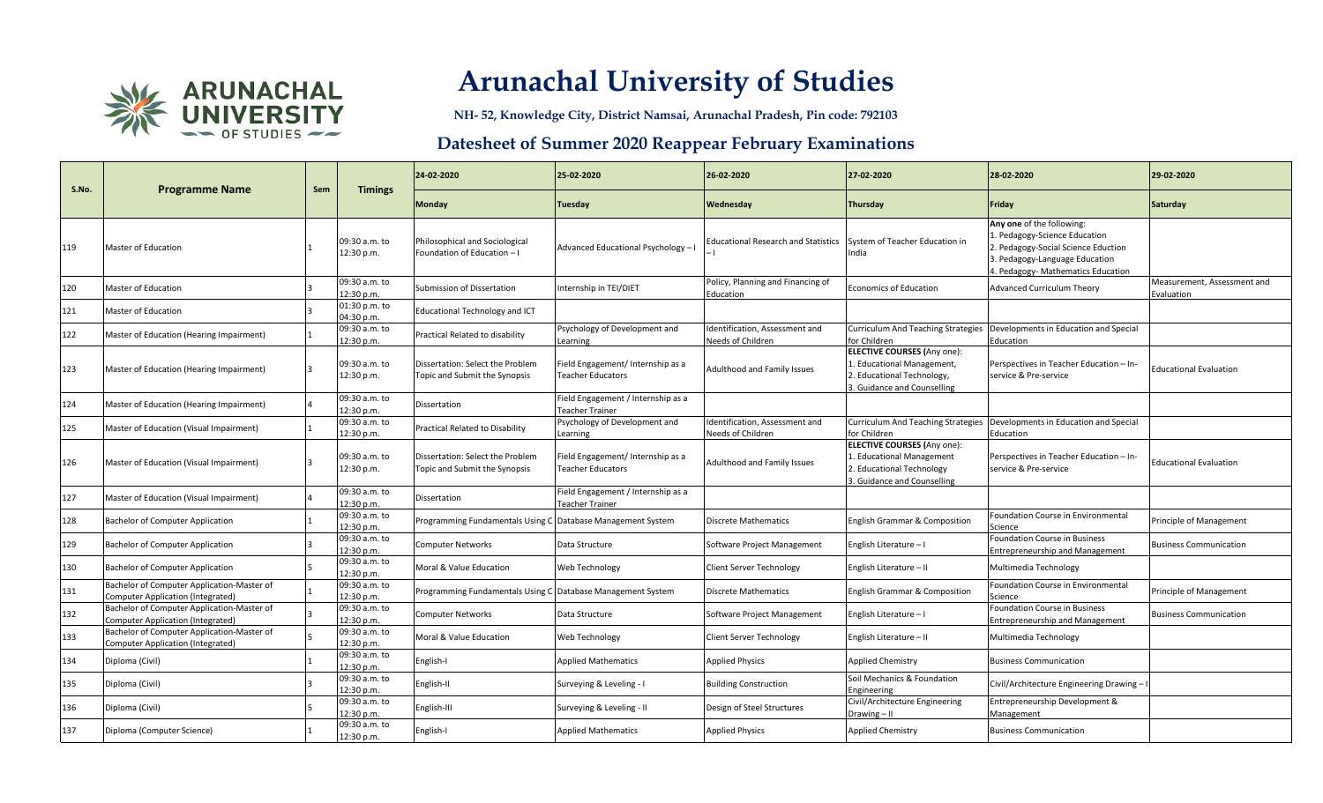

**NH- 52, Knowledge City, District Namsai, Arunachal Pradesh, Pin code: 792103**

| S.No. | <b>Programme Name</b>                                                           | Sem | <b>Timings</b>              | 24-02-2020                                                        | 25-02-2020                                                    | 26-02-2020                                          | 27-02-2020                                                                                                                   | 28-02-2020                                                                                                                                                           | 29-02-2020                                |
|-------|---------------------------------------------------------------------------------|-----|-----------------------------|-------------------------------------------------------------------|---------------------------------------------------------------|-----------------------------------------------------|------------------------------------------------------------------------------------------------------------------------------|----------------------------------------------------------------------------------------------------------------------------------------------------------------------|-------------------------------------------|
|       |                                                                                 |     |                             | <b>Monday</b>                                                     | <b>Tuesday</b>                                                | Wednesday                                           | Thursday                                                                                                                     | Friday                                                                                                                                                               | Saturday                                  |
| 119   | Master of Education                                                             |     | 09:30 a.m. to<br>12:30 p.m. | Philosophical and Sociological<br>Foundation of Education-I       | Advanced Educational Psychology - I                           | <b>Educational Research and Statistics</b>          | System of Teacher Education in<br>India                                                                                      | Any one of the following:<br>Pedagogy-Science Education<br>. Pedagogy-Social Science Eduction<br>3. Pedagogy-Language Education<br>. Pedagogy- Mathematics Education |                                           |
| 120   | <b>Master of Education</b>                                                      |     | 09:30 a.m. to<br>12:30 p.m. | Submission of Dissertation                                        | Internship in TEI/DIET                                        | Policy, Planning and Financing of<br>Education      | <b>Economics of Education</b>                                                                                                | <b>Advanced Curriculum Theory</b>                                                                                                                                    | Measurement, Assessment and<br>Evaluation |
| 121   | <b>Master of Education</b>                                                      |     | 01:30 p.m. to<br>04:30 p.m. | Educational Technology and ICT                                    |                                                               |                                                     |                                                                                                                              |                                                                                                                                                                      |                                           |
| 122   | Master of Education (Hearing Impairment)                                        |     | 09:30 a.m. to<br>12:30 p.m. | Practical Related to disability                                   | Psychology of Development and<br>Learning                     | Identification, Assessment and<br>Needs of Children | <b>Curriculum And Teaching Strategies</b><br>for Children                                                                    | Developments in Education and Special<br>Education                                                                                                                   |                                           |
| 123   | Master of Education (Hearing Impairment)                                        |     | 09:30 a.m. to<br>12:30 p.m. | Dissertation: Select the Problem<br>Topic and Submit the Synopsis | Field Engagement/ Internship as a<br><b>Teacher Educators</b> | Adulthood and Family Issues                         | <b>ELECTIVE COURSES (Any one):</b><br>. Educational Management,<br>2. Educational Technology,<br>3. Guidance and Counselling | Perspectives in Teacher Education - In-<br>service & Pre-service                                                                                                     | <b>Educational Evaluation</b>             |
| 124   | Master of Education (Hearing Impairment)                                        |     | 09:30 a.m. to<br>12:30 p.m. | Dissertation                                                      | Field Engagement / Internship as a<br>Teacher Trainer         |                                                     |                                                                                                                              |                                                                                                                                                                      |                                           |
| 125   | Master of Education (Visual Impairment)                                         |     | 09:30 a.m. to<br>12:30 p.m. | Practical Related to Disability                                   | Psychology of Development and<br>Learning                     | Identification, Assessment and<br>Needs of Children | <b>Curriculum And Teaching Strategies</b><br>for Children                                                                    | Developments in Education and Special<br>Education                                                                                                                   |                                           |
| 126   | Master of Education (Visual Impairment)                                         |     | 09:30 a.m. to<br>12:30 p.m. | Dissertation: Select the Problem<br>Topic and Submit the Synopsis | Field Engagement/ Internship as a<br><b>Teacher Educators</b> | Adulthood and Family Issues                         | ELECTIVE COURSES (Any one):<br>. Educational Management<br>2. Educational Technology<br>3. Guidance and Counselling          | Perspectives in Teacher Education - In-<br>service & Pre-service                                                                                                     | <b>Educational Evaluation</b>             |
| 127   | Master of Education (Visual Impairment)                                         |     | 09:30 a.m. to<br>12:30 p.m. | Dissertation                                                      | Field Engagement / Internship as a<br>Teacher Trainer         |                                                     |                                                                                                                              |                                                                                                                                                                      |                                           |
| 128   | Bachelor of Computer Application                                                |     | 09:30 a.m. to<br>12:30 p.m. | Programming Fundamentals Using C                                  | Database Management System                                    | Discrete Mathematics                                | <b>English Grammar &amp; Composition</b>                                                                                     | Foundation Course in Environmental<br>Science                                                                                                                        | Principle of Management                   |
| 129   | Bachelor of Computer Application                                                |     | 09:30 a.m. to<br>12:30 p.m. | <b>Computer Networks</b>                                          | Data Structure                                                | Software Project Management                         | English Literature - I                                                                                                       | Foundation Course in Business<br><b>Entrepreneurship and Management</b>                                                                                              | <b>Business Communication</b>             |
| 130   | Bachelor of Computer Application                                                |     | 09:30 a.m. to<br>12:30 p.m. | Moral & Value Education                                           | Web Technology                                                | Client Server Technology                            | English Literature - II                                                                                                      | Multimedia Technology                                                                                                                                                |                                           |
| 131   | Bachelor of Computer Application-Master of<br>Computer Application (Integrated) |     | 09:30 a.m. to<br>12:30 p.m. | Programming Fundamentals Using C Database Management System       |                                                               | Discrete Mathematics                                | <b>English Grammar &amp; Composition</b>                                                                                     | Foundation Course in Environmental<br>Science                                                                                                                        | Principle of Management                   |
| 132   | Bachelor of Computer Application-Master of<br>Computer Application (Integrated) |     | 09:30 a.m. to<br>12:30 p.m. | <b>Computer Networks</b>                                          | Data Structure                                                | Software Project Management                         | English Literature - I                                                                                                       | Foundation Course in Business<br><b>Entrepreneurship and Management</b>                                                                                              | <b>Business Communication</b>             |
| 133   | Bachelor of Computer Application-Master of<br>Computer Application (Integrated) |     | 09:30 a.m. to<br>12:30 p.m. | Moral & Value Education                                           | Web Technology                                                | Client Server Technology                            | English Literature - II                                                                                                      | Multimedia Technology                                                                                                                                                |                                           |
| 134   | Diploma (Civil)                                                                 |     | 09:30 a.m. to<br>12:30 p.m. | English-I                                                         | <b>Applied Mathematics</b>                                    | <b>Applied Physics</b>                              | <b>Applied Chemistry</b>                                                                                                     | <b>Business Communication</b>                                                                                                                                        |                                           |
| 135   | Diploma (Civil)                                                                 |     | 09:30 a.m. to<br>12:30 p.m. | English-II                                                        | Surveying & Leveling - I                                      | <b>Building Construction</b>                        | Soil Mechanics & Foundation<br>Engineering                                                                                   | Civil/Architecture Engineering Drawing-                                                                                                                              |                                           |
| 136   | Diploma (Civil)                                                                 |     | 09:30 a.m. to<br>12:30 p.m. | English-III                                                       | Surveying & Leveling - II                                     | Design of Steel Structures                          | Civil/Architecture Engineering<br>Drawing - II                                                                               | Entrepreneurship Development &<br>Management                                                                                                                         |                                           |
| 137   | Diploma (Computer Science)                                                      |     | 09:30 a.m. to<br>12:30 p.m. | English-I                                                         | <b>Applied Mathematics</b>                                    | <b>Applied Physics</b>                              | <b>Applied Chemistry</b>                                                                                                     | <b>Business Communication</b>                                                                                                                                        |                                           |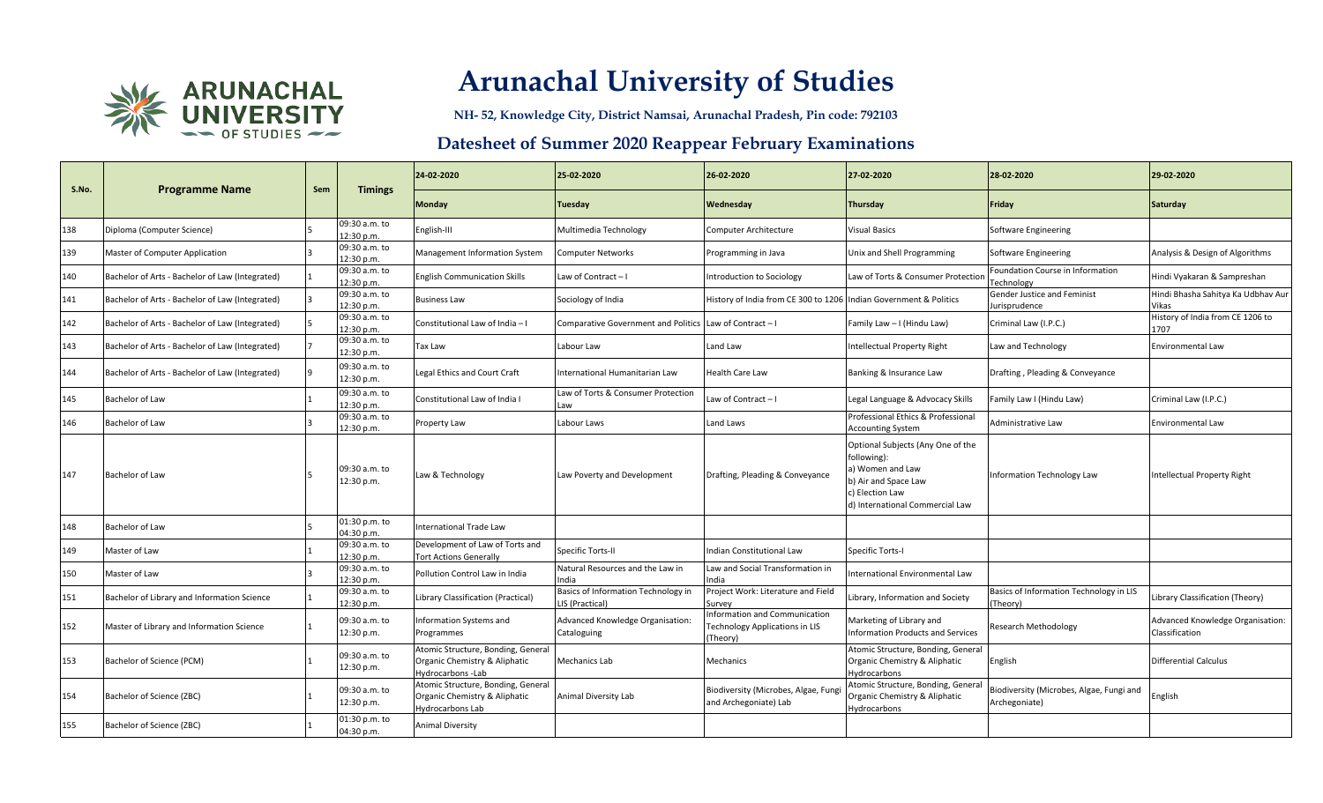

**NH- 52, Knowledge City, District Namsai, Arunachal Pradesh, Pin code: 792103**

| S.No. |                                                 | Sem |                             | 24-02-2020                                                                              | 25-02-2020                                             | 26-02-2020                                                                         | 27-02-2020                                                                                                                                         | 28-02-2020                                                | 29-02-2020                                         |
|-------|-------------------------------------------------|-----|-----------------------------|-----------------------------------------------------------------------------------------|--------------------------------------------------------|------------------------------------------------------------------------------------|----------------------------------------------------------------------------------------------------------------------------------------------------|-----------------------------------------------------------|----------------------------------------------------|
|       | <b>Programme Name</b>                           |     | <b>Timings</b>              | <b>Monday</b>                                                                           | Tuesday                                                | Wednesday                                                                          | Thursday                                                                                                                                           | Friday                                                    | Saturday                                           |
| 138   | Diploma (Computer Science)                      |     | 09:30 a.m. to<br>12:30 p.m. | English-III                                                                             | Multimedia Technology                                  | <b>Computer Architecture</b>                                                       | <b>Visual Basics</b>                                                                                                                               | Software Engineering                                      |                                                    |
| 139   | Master of Computer Application                  |     | 09:30 a.m. to<br>12:30 p.m. | Management Information System                                                           | Computer Networks                                      | Programming in Java                                                                | Unix and Shell Programming                                                                                                                         | Software Engineering                                      | Analysis & Design of Algorithms                    |
| 140   | Bachelor of Arts - Bachelor of Law (Integrated) |     | 09:30 a.m. to<br>12:30 p.m. | <b>English Communication Skills</b>                                                     | Law of Contract - I                                    | Introduction to Sociology                                                          | Law of Torts & Consumer Protection                                                                                                                 | Foundation Course in Information<br><b>Fechnology</b>     | Hindi Vyakaran & Sampreshan                        |
| 141   | Bachelor of Arts - Bachelor of Law (Integrated) |     | 09:30 a.m. to<br>12:30 p.m. | <b>Business Law</b>                                                                     | Sociology of India                                     | History of India from CE 300 to 1206 Indian Government & Politics                  |                                                                                                                                                    | Gender Justice and Feminist<br>lurisprudence              | Hindi Bhasha Sahitya Ka Udbhav Aur<br>Vikas        |
| 142   | Bachelor of Arts - Bachelor of Law (Integrated) |     | 09:30 a.m. to<br>12:30 p.m. | Constitutional Law of India - I                                                         | Comparative Government and Politics Law of Contract-I  |                                                                                    | Family Law - I (Hindu Law)                                                                                                                         | Criminal Law (I.P.C.)                                     | History of India from CE 1206 to<br>1707           |
| 143   | Bachelor of Arts - Bachelor of Law (Integrated) |     | 09:30 a.m. to<br>12:30 p.m. | Tax Law                                                                                 | Labour Law                                             | Land Law                                                                           | Intellectual Property Right                                                                                                                        | Law and Technology                                        | <b>Environmental Law</b>                           |
| 144   | Bachelor of Arts - Bachelor of Law (Integrated) |     | 09:30 a.m. to<br>12:30 p.m. | Legal Ethics and Court Craft                                                            | International Humanitarian Law                         | Health Care Law                                                                    | Banking & Insurance Law                                                                                                                            | Drafting, Pleading & Conveyance                           |                                                    |
| 145   | <b>Bachelor of Law</b>                          |     | 09:30 a.m. to<br>12:30 p.m. | Constitutional Law of India I                                                           | Law of Torts & Consumer Protection<br>Law              | Law of Contract $-1$                                                               | Legal Language & Advocacy Skills                                                                                                                   | Family Law I (Hindu Law)                                  | Criminal Law (I.P.C.)                              |
| 146   | Bachelor of Law                                 |     | 09:30 a.m. to<br>12:30 p.m. | Property Law                                                                            | Labour Laws                                            | Land Laws                                                                          | Professional Ethics & Professional<br><b>Accounting System</b>                                                                                     | Administrative Law                                        | Environmental Law                                  |
| 147   | <b>Bachelor of Law</b>                          |     | 09:30 a.m. to<br>12:30 p.m. | Law & Technology                                                                        | Law Poverty and Development                            | Drafting, Pleading & Conveyance                                                    | Optional Subjects (Any One of the<br>following):<br>a) Women and Law<br>b) Air and Space Law<br>c) Election Law<br>d) International Commercial Law | Information Technology Law                                | <b>Intellectual Property Right</b>                 |
| 148   | Bachelor of Law                                 |     | 01:30 p.m. to<br>04:30 p.m. | <b>International Trade Law</b>                                                          |                                                        |                                                                                    |                                                                                                                                                    |                                                           |                                                    |
| 149   | Master of Law                                   |     | 09:30 a.m. to<br>12:30 p.m. | Development of Law of Torts and<br><b>Tort Actions Generally</b>                        | Specific Torts-II                                      | Indian Constitutional Law                                                          | Specific Torts-I                                                                                                                                   |                                                           |                                                    |
| 150   | Master of Law                                   |     | 09:30 a.m. to<br>12:30 p.m. | Pollution Control Law in India                                                          | Natural Resources and the Law in<br>India              | Law and Social Transformation in<br>India                                          | International Environmental Law                                                                                                                    |                                                           |                                                    |
| 151   | Bachelor of Library and Information Science     |     | 09:30 a.m. to<br>12:30 p.m. | Library Classification (Practical)                                                      | Basics of Information Technology in<br>LIS (Practical) | Project Work: Literature and Field<br>Survey                                       | Library, Information and Society                                                                                                                   | Basics of Information Technology in LIS<br>Theory         | Library Classification (Theory)                    |
| 152   | Master of Library and Information Science       |     | 09:30 a.m. to<br>12:30 p.m. | Information Systems and<br>Programmes                                                   | Advanced Knowledge Organisation:<br>Cataloguing        | Information and Communication<br><b>Technology Applications in LIS</b><br>(Theory) | Marketing of Library and<br>Information Products and Services                                                                                      | Research Methodology                                      | Advanced Knowledge Organisation:<br>Classification |
| 153   | Bachelor of Science (PCM)                       |     | 09:30 a.m. to<br>12:30 p.m. | Atomic Structure, Bonding, General<br>Organic Chemistry & Aliphatic<br>Hydrocarbons-Lab | Mechanics Lab                                          | Mechanics                                                                          | Atomic Structure, Bonding, General<br>Organic Chemistry & Aliphatic<br>Hydrocarbons                                                                | English                                                   | <b>Differential Calculus</b>                       |
| 154   | Bachelor of Science (ZBC)                       |     | 09:30 a.m. to<br>12:30 p.m. | Atomic Structure, Bonding, General<br>Organic Chemistry & Aliphatic<br>Hydrocarbons Lab | Animal Diversity Lab                                   | Biodiversity (Microbes, Algae, Fung<br>and Archegoniate) Lab                       | Atomic Structure, Bonding, General<br>Organic Chemistry & Aliphatic<br>Hydrocarbons                                                                | Biodiversity (Microbes, Algae, Fungi and<br>Archegoniate) | English                                            |
| 155   | Bachelor of Science (ZBC)                       |     | 01:30 p.m. to<br>04:30 p.m. | <b>Animal Diversity</b>                                                                 |                                                        |                                                                                    |                                                                                                                                                    |                                                           |                                                    |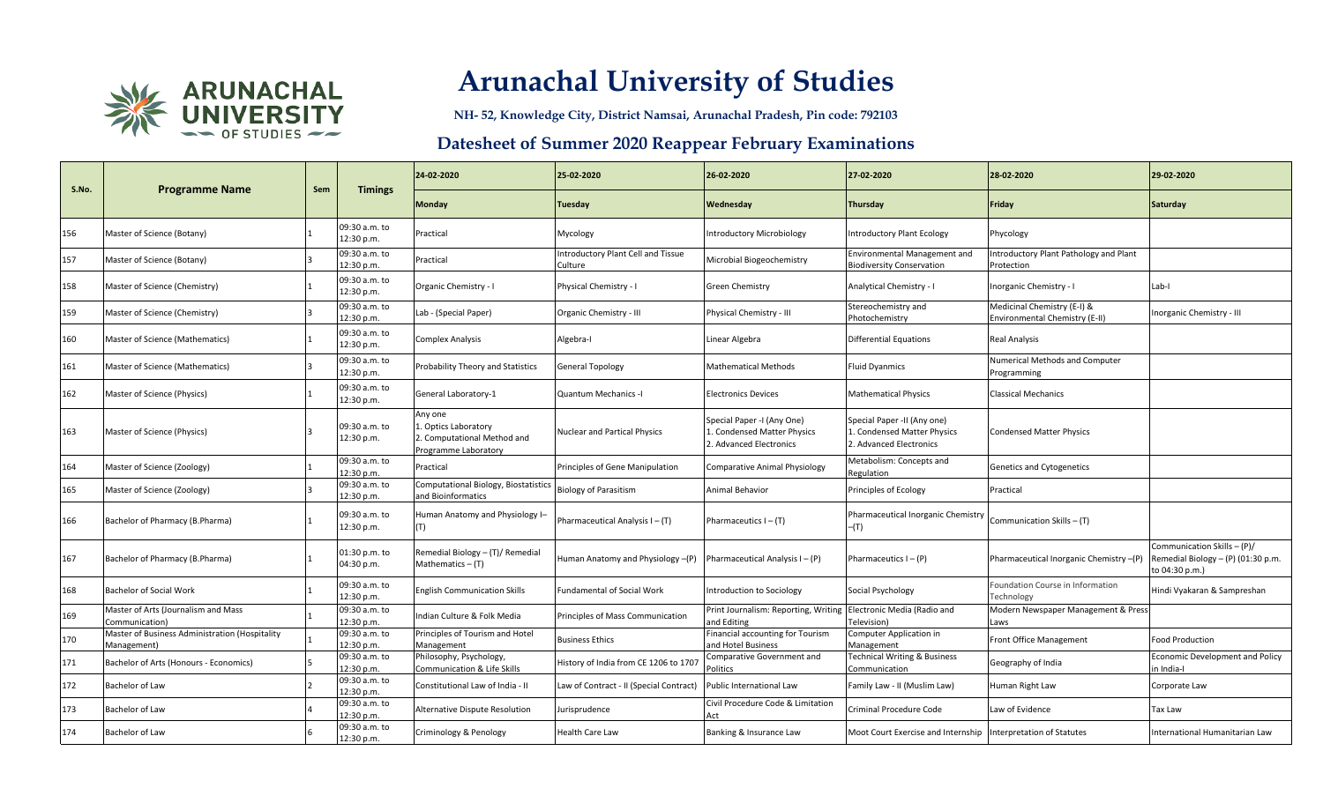

**NH- 52, Knowledge City, District Namsai, Arunachal Pradesh, Pin code: 792103**

| S.No. | <b>Programme Name</b>                                        | Sem | <b>Timings</b>              | 24-02-2020                                                                            | 25-02-2020                                   | 26-02-2020                                                                           | 27-02-2020                                                                            | 28-02-2020                                                    | 29-02-2020                                                                          |
|-------|--------------------------------------------------------------|-----|-----------------------------|---------------------------------------------------------------------------------------|----------------------------------------------|--------------------------------------------------------------------------------------|---------------------------------------------------------------------------------------|---------------------------------------------------------------|-------------------------------------------------------------------------------------|
|       |                                                              |     |                             | Monday                                                                                | Tuesday                                      | Wednesday                                                                            | <b>Thursday</b>                                                                       | Friday                                                        | <b>Saturday</b>                                                                     |
| 156   | Master of Science (Botany)                                   |     | 09:30 a.m. to<br>12:30 p.m. | Practical                                                                             | Mycology                                     | <b>Introductory Microbiology</b>                                                     | <b>Introductory Plant Ecology</b>                                                     | Phycology                                                     |                                                                                     |
| 157   | Master of Science (Botany)                                   |     | 09:30 a.m. to<br>12:30 p.m. | Practical                                                                             | ntroductory Plant Cell and Tissue<br>Culture | Microbial Biogeochemistry                                                            | <b>Environmental Management and</b><br><b>Biodiversity Conservation</b>               | Introductory Plant Pathology and Plant<br>Protection          |                                                                                     |
| 158   | Master of Science (Chemistry)                                |     | 09:30 a.m. to<br>12:30 p.m. | Organic Chemistry - I                                                                 | Physical Chemistry - I                       | Green Chemistry                                                                      | Analytical Chemistry - I                                                              | Inorganic Chemistry - I                                       | Lab-I                                                                               |
| 159   | Master of Science (Chemistry)                                |     | 09:30 a.m. to<br>12:30 p.m. | Lab - (Special Paper)                                                                 | Organic Chemistry - III                      | Physical Chemistry - III                                                             | Stereochemistry and<br>Photochemistry                                                 | Medicinal Chemistry (E-I) &<br>Environmental Chemistry (E-II) | Inorganic Chemistry - III                                                           |
| 160   | Master of Science (Mathematics)                              |     | 09:30 a.m. to<br>12:30 p.m. | <b>Complex Analysis</b>                                                               | Algebra-I                                    | Linear Algebra                                                                       | <b>Differential Equations</b>                                                         | <b>Real Analysis</b>                                          |                                                                                     |
| 161   | Master of Science (Mathematics)                              |     | 09:30 a.m. to<br>12:30 p.m. | Probability Theory and Statistics                                                     | <b>General Topology</b>                      | <b>Mathematical Methods</b>                                                          | <b>Fluid Dyanmics</b>                                                                 | Numerical Methods and Computer<br>Programming                 |                                                                                     |
| 162   | Master of Science (Physics)                                  |     | 09:30 a.m. to<br>12:30 p.m. | General Laboratory-1                                                                  | <b>Quantum Mechanics -I</b>                  | <b>Electronics Devices</b>                                                           | <b>Mathematical Physics</b>                                                           | <b>Classical Mechanics</b>                                    |                                                                                     |
| 163   | Master of Science (Physics)                                  |     | 09:30 a.m. to<br>12:30 p.m. | Any one<br>. Optics Laboratory<br>2. Computational Method and<br>Programme Laboratory | Nuclear and Partical Physics                 | Special Paper -I (Any One)<br>1. Condensed Matter Physics<br>2. Advanced Electronics | Special Paper -II (Any one)<br>1. Condensed Matter Physics<br>2. Advanced Electronics | <b>Condensed Matter Physics</b>                               |                                                                                     |
| 164   | Master of Science (Zoology)                                  |     | 09:30 a.m. to<br>12:30 p.m. | Practical                                                                             | Principles of Gene Manipulation              | <b>Comparative Animal Physiology</b>                                                 | Metabolism: Concepts and<br>Regulation                                                | <b>Genetics and Cytogenetics</b>                              |                                                                                     |
| 165   | Master of Science (Zoology)                                  |     | 09:30 a.m. to<br>12:30 p.m. | Computational Biology, Biostatistics<br>and Bioinformatics                            | <b>Biology of Parasitism</b>                 | Animal Behavior                                                                      | Principles of Ecology                                                                 | Practical                                                     |                                                                                     |
| 166   | Bachelor of Pharmacy (B.Pharma)                              |     | 09:30 a.m. to<br>12:30 p.m. | Human Anatomy and Physiology I-<br>(T)                                                | Pharmaceutical Analysis I - (T)              | Pharmaceutics $I - (T)$                                                              | Pharmaceutical Inorganic Chemistry<br>$-(T)$                                          | Communication Skills - (T)                                    |                                                                                     |
| 167   | Bachelor of Pharmacy (B.Pharma)                              |     | 01:30 p.m. to<br>04:30 p.m. | Remedial Biology - (T)/ Remedial<br>Mathematics $-$ (T)                               | Human Anatomy and Physiology -(P)            | Pharmaceutical Analysis $I - (P)$                                                    | Pharmaceutics $I - (P)$                                                               | Pharmaceutical Inorganic Chemistry -(P)                       | Communication Skills - (P)/<br>Remedial Biology - (P) (01:30 p.m.<br>to 04:30 p.m.) |
| 168   | <b>Bachelor of Social Work</b>                               |     | 09:30 a.m. to<br>12:30 p.m. | <b>English Communication Skills</b>                                                   | <b>Fundamental of Social Work</b>            | Introduction to Sociology                                                            | Social Psychology                                                                     | Foundation Course in Information<br>Technology                | Hindi Vyakaran & Sampreshan                                                         |
| 169   | Master of Arts (Journalism and Mass<br>Communication)        |     | 09:30 a.m. to<br>12:30 p.m. | Indian Culture & Folk Media                                                           | Principles of Mass Communication             | Print Journalism: Reporting, Writing Electronic Media (Radio and<br>and Editing      | Television)                                                                           | Modern Newspaper Management & Press<br>Laws                   |                                                                                     |
| 170   | Master of Business Administration (Hospitality<br>Management |     | 09:30 a.m. to<br>12:30 p.m. | Principles of Tourism and Hotel<br>Management                                         | Business Ethics                              | Financial accounting for Tourism<br>and Hotel Business                               | Computer Application in<br>Management                                                 | <b>Front Office Management</b>                                | <b>Food Production</b>                                                              |
| 171   | Bachelor of Arts (Honours - Economics)                       |     | 09:30 a.m. to<br>12:30 p.m. | Philosophy, Psychology,<br><b>Communication &amp; Life Skills</b>                     | History of India from CE 1206 to 1707        | Comparative Government and<br>Politics                                               | <b>Technical Writing &amp; Business</b><br>Communication                              | Geography of India                                            | <b>Economic Development and Policy</b><br>in India-l                                |
| 172   | Bachelor of Law                                              |     | 09:30 a.m. to<br>12:30 p.m. | Constitutional Law of India - II                                                      | Law of Contract - II (Special Contract)      | Public International Law                                                             | Family Law - II (Muslim Law)                                                          | Human Right Law                                               | Corporate Law                                                                       |
| 173   | Bachelor of Law                                              |     | 09:30 a.m. to<br>12:30 p.m. | Alternative Dispute Resolution                                                        | urisprudence                                 | Civil Procedure Code & Limitation                                                    | Criminal Procedure Code                                                               | Law of Evidence                                               | Tax Law                                                                             |
| 174   | Bachelor of Law                                              |     | 09:30 a.m. to<br>12:30 p.m. | Criminology & Penology                                                                | Health Care Law                              | Banking & Insurance Law                                                              | Moot Court Exercise and Internship Interpretation of Statutes                         |                                                               | International Humanitarian Law                                                      |